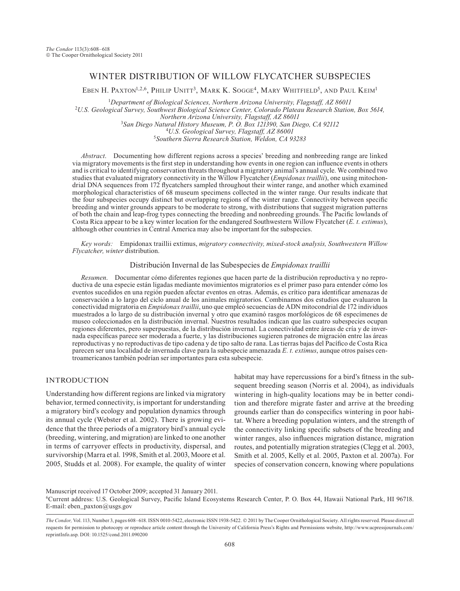# WINTER DISTRIBUTION OF WILLOW FLYCATCHER SUBSPECIES

EBEN H. PAXTON<sup>1,2,6</sup>, PHILIP UNITT<sup>3</sup>, MARK K. SOGGE<sup>4</sup>, MARY WHITFIELD<sup>5</sup>, AND PAUL KEIM<sup>1</sup>

<sup>1</sup>*Department of Biological Sciences, Northern Arizona University, Flagstaff, AZ 86011* <sup>2</sup> *U.S. Geological Survey, Southwest Biological Science Center, Colorado Plateau Research Station, Box 5614,*  <sup>3</sup>San Diego Natural History Museum, P. O. Box 121390, San Diego, CA 92112<br><sup>4</sup>U.S. Geological Survey, Flagstaff, AZ 86001 *U.S. Geological Survey, Flagstaff, AZ 86001* <sup>5</sup>*Southern Sierra Research Station, Weldon, CA 93283*

*Abstract*. Documenting how different regions across a species' breeding and nonbreeding range are linked via migratory movements is the first step in understanding how events in one region can influence events in others and is critical to identifying conservation threats throughout a migratory animal's annual cycle. We combined two studies that evaluated migratory connectivity in the Willow Flycatcher (*Empidonax traillii*), one using mitochondrial DNA sequences from 172 flycatchers sampled throughout their winter range, and another which examined morphological characteristics of 68 museum specimens collected in the winter range. Our results indicate that the four subspecies occupy distinct but overlapping regions of the winter range. Connectivity between specific breeding and winter grounds appears to be moderate to strong, with distributions that suggest migration patterns of both the chain and leap-frog types connecting the breeding and nonbreeding grounds. The Pacific lowlands of Costa Rica appear to be a key winter location for the endangered Southwestern Willow Flycatcher (*E. t. extimus*), although other countries in Central America may also be important for the subspecies.

*Key words:* Empidonax traillii extimus, *migratory connectivity, mixed-stock analysis, Southwestern Willow Flycatcher, winter* distribution.

## Distribución Invernal de las Subespecies de *Empidonax traillii*

*Resumen*. Documentar cómo diferentes regiones que hacen parte de la distribución reproductiva y no reproductiva de una especie están ligadas mediante movimientos migratorios es el primer paso para entender cómo los eventos sucedidos en una región pueden afectar eventos en otras. Además, es crítico para identificar amenazas de conservación a lo largo del ciclo anual de los animales migratorios. Combinamos dos estudios que evaluaron la conectividad migratoria en *Empidonax traillii*, uno que empleó secuencias de ADN mitocondrial de 172 individuos muestrados a lo largo de su distribución invernal y otro que examinó rasgos morfológicos de 68 especímenes de museo coleccionados en la distribución invernal. Nuestros resultados indican que las cuatro subespecies ocupan regiones diferentes, pero superpuestas, de la distribución invernal. La conectividad entre áreas de cría y de invernada específicas parece ser moderada a fuerte, y las distribuciones sugieren patrones de migración entre las áreas reproductivas y no reproductivas de tipo cadena y de tipo salto de rana. Las tierras bajas del Pacífico de Costa Rica parecen ser una localidad de invernada clave para la subespecie amenazada *E. t. extimus*, aunque otros países centroamericanos también podrían ser importantes para esta subespecie.

# INTRODUCTION

Understanding how different regions are linked via migratory behavior, termed connectivity, is important for understanding a migratory bird's ecology and population dynamics through its annual cycle (Webster et al. 2002). There is growing evidence that the three periods of a migratory bird's annual cycle (breeding, wintering, and migration) are linked to one another in terms of carryover effects in productivity, dispersal, and survivorship (Marra et al. 1998, Smith et al. 2003, Moore et al. 2005, Studds et al. 2008). For example, the quality of winter habitat may have repercussions for a bird's fitness in the subsequent breeding season (Norris et al. 2004), as individuals wintering in high-quality locations may be in better condition and therefore migrate faster and arrive at the breeding grounds earlier than do conspecifics wintering in poor habitat. Where a breeding population winters, and the strength of the connectivity linking specific subsets of the breeding and winter ranges, also influences migration distance, migration routes, and potentially migration strategies (Clegg et al. 2003, Smith et al. 2005, Kelly et al. 2005, Paxton et al. 2007a). For species of conservation concern, knowing where populations

6Current address: U.S. Geological Survey, Pacific Island Ecosystems Research Center, P. O. Box 44, Hawaii National Park, HI 96718. E-mail: eben\_paxton@usgs.gov Manuscript received 17 October 2009; accepted 31 January 2011.

*The Condor,* Vol. 113, Number 3, pages 608–618. ISSN 0010-5422, electronic ISSN 1938-5422. 2011 by The Cooper Ornithological Society. All rights reserved. Please direct all requests for permission to photocopy or reproduce article content through the University of California Press's Rights and Permissions website, http://www.ucpressjournals.com/ reprintInfo.asp. DOI: 10.1525/cond.2011.090200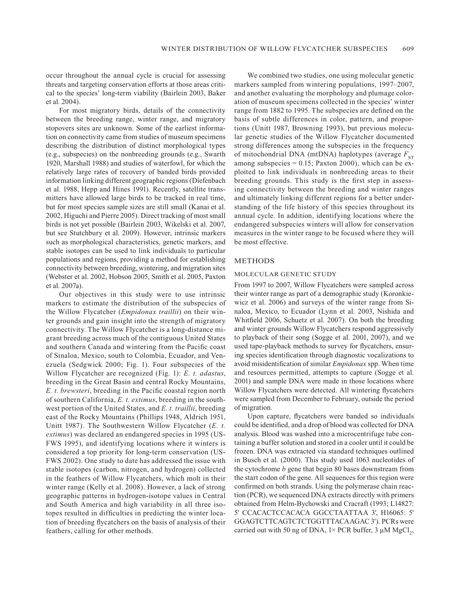occur throughout the annual cycle is crucial for assessing threats and targeting conservation efforts at those areas critical to the species' long-term viability (Bairlein 2003, Baker et al. 2004).

For most migratory birds, details of the connectivity between the breeding range, winter range, and migratory stopovers sites are unknown. Some of the earliest information on connectivity came from studies of museum specimens describing the distribution of distinct morphological types (e.g., subspecies) on the nonbreeding grounds (e.g., Swarth 1920, Marshall 1988) and studies of waterfowl, for which the relatively large rates of recovery of banded birds provided information linking different geographic regions (Diefenbach et al. 1988, Hepp and Hines 1991). Recently, satellite transmitters have allowed large birds to be tracked in real time, but for most species sample sizes are still small (Kanai et al. 2002, Higuchi and Pierre 2005). Direct tracking of most small birds is not yet possible (Bairlein 2003, Wikelski et al. 2007, but see Stutchbury et al. 2009). However, intrinsic markers such as morphological characteristics, genetic markers, and stable isotopes can be used to link individuals to particular populations and regions, providing a method for establishing connectivity between breeding, wintering, and migration sites (Webster et al. 2002, Hobson 2005, Smith et al. 2005, Paxton et al. 2007a).

Our objectives in this study were to use intrinsic markers to estimate the distribution of the subspecies of the Willow Flycatcher (*Empidonax traillii*) on their winter grounds and gain insight into the strength of migratory connectivity. The Willow Flycatcher is a long-distance migrant breeding across much of the contiguous United States and southern Canada and wintering from the Pacific coast of Sinaloa, Mexico, south to Colombia, Ecuador, and Venezuela (Sedgwick 2000; Fig. 1). Four subspecies of the Willow Flycatcher are recognized (Fig. 1): *E. t. adastus*, breeding in the Great Basin and central Rocky Mountains, *E. t. brewsteri*, breeding in the Pacific coastal region north of southern California, *E. t. extimus*, breeding in the southwest portion of the United States, and *E. t. traillii*, breeding east of the Rocky Mountains (Phillips 1948, Aldrich 1951, Unitt 1987). The Southwestern Willow Flycatcher (*E. t. extimus*) was declared an endangered species in 1995 (US-FWS 1995), and identifying locations where it winters is considered a top priority for long-term conservation (US-FWS 2002). One study to date has addressed the issue with stable isotopes (carbon, nitrogen, and hydrogen) collected in the feathers of Willow Flycatchers, which molt in their winter range (Kelly et al. 2008). However, a lack of strong geographic patterns in hydrogen-isotope values in Central and South America and high variability in all three isotopes resulted in difficulties in predicting the winter location of breeding flycatchers on the basis of analysis of their feathers, calling for other methods.

We combined two studies, one using molecular genetic markers sampled from wintering populations, 1997–2007, and another evaluating the morphology and plumage coloration of museum specimens collected in the species' winter range from 1882 to 1995. The subspecies are defined on the basis of subtle differences in color, pattern, and proportions (Unitt 1987, Browning 1993), but previous molecular genetic studies of the Willow Flycatcher documented strong differences among the subspecies in the frequency of mitochondrial DNA (mtDNA) haplotypes (average  $F_{ST}$ among subspecies  $= 0.15$ ; Paxton 2000), which can be exploited to link individuals in nonbreeding areas to their breeding grounds. This study is the first step in assessing connectivity between the breeding and winter ranges and ultimately linking different regions for a better understanding of the life history of this species throughout its annual cycle. In addition, identifying locations where the endangered subspecies winters will allow for conservation measures in the winter range to be focused where they will be most effective.

## **METHODS**

## Molecular genetic study

From 1997 to 2007, Willow Flycatchers were sampled across their winter range as part of a demographic study (Koronkiewicz et al. 2006) and surveys of the winter range from Sinaloa, Mexico, to Ecuador (Lynn et al. 2003, Nishida and Whitfield 2006, Schuetz et al. 2007). On both the breeding and winter grounds Willow Flycatchers respond aggressively to playback of their song (Sogge et al. 2001, 2007), and we used tape-playback methods to survey for flycatchers, ensuring species identification through diagnostic vocalizations to avoid misidentification of similar *Empidonax* spp. When time and resources permitted, attempts to capture (Sogge et al. 2001) and sample DNA were made in those locations where Willow Flycatchers were detected. All wintering flycatchers were sampled from December to February, outside the period of migration.

Upon capture, flycatchers were banded so individuals could be identified, and a drop of blood was collected for DNA analysis. Blood was washed into a microcentrifuge tube containing a buffer solution and stored in a cooler until it could be frozen. DNA was extracted via standard techniques outlined in Busch et al. (2000). This study used 1063 nucleotides of the cytochrome *b* gene that begin 80 bases downstream from the start codon of the gene. All sequences for this region were confirmed on both strands. Using the polymerase chain reaction (PCR), we sequenced DNA extracts directly with primers obtained from Helm-Bychowski and Cracraft (1993; L14827: 5' CCACACTCCACACA GGCCTAATTAA 3', H16065: 5' GGAGTCTTCAGTCTCTGGTTTACAAGAC 3'). PCRs were carried out with 50 ng of DNA,  $1 \times$  PCR buffer, 3 µM MgCl<sub>2</sub>,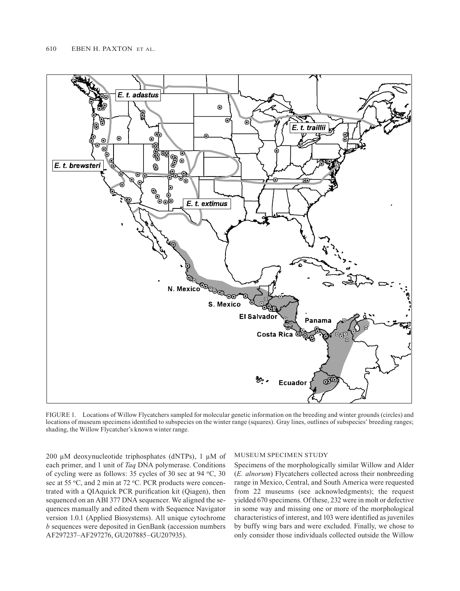

FIGURE 1. Locations of Willow Flycatchers sampled for molecular genetic information on the breeding and winter grounds (circles) and locations of museum specimens identified to subspecies on the winter range (squares). Gray lines, outlines of subspecies' breeding ranges; shading, the Willow Flycatcher's known winter range.

200 µM deoxynucleotide triphosphates (dNTPs), 1 µM of each primer, and 1 unit of *Taq* DNA polymerase. Conditions of cycling were as follows: 35 cycles of 30 sec at 94  $°C$ , 30 sec at 55 °C, and 2 min at 72 °C. PCR products were concentrated with a QIAquick PCR purification kit (Qiagen), then sequenced on an ABI 377 DNA sequencer. We aligned the sequences manually and edited them with Sequence Navigator version 1.0.1 (Applied Biosystems). All unique cytochrome *b* sequences were deposited in GenBank (accession numbers AF297237–AF297276, GU207885–GU207935).

## Museum specimen study

Specimens of the morphologically similar Willow and Alder (*E. alnorum*) Flycatchers collected across their nonbreeding range in Mexico, Central, and South America were requested from 22 museums (see acknowledgments); the request yielded 670 specimens. Of these, 232 were in molt or defective in some way and missing one or more of the morphological characteristics of interest, and 103 were identified as juveniles by buffy wing bars and were excluded. Finally, we chose to only consider those individuals collected outside the Willow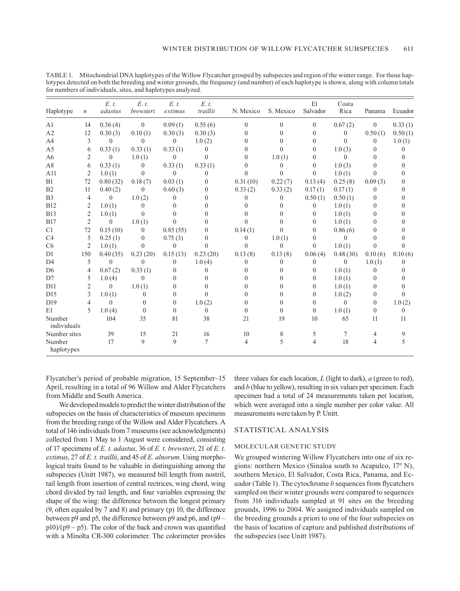| Haplotype             | $\boldsymbol{n}$ | E. t.<br>adastus | E. t.<br>brewsteri | E. t.<br>extimus | E. t.<br>traillii | N. Mexico | S. Mexico      | E1<br>Salvador | Costa<br>Rica  | Panama         | Ecuador        |
|-----------------------|------------------|------------------|--------------------|------------------|-------------------|-----------|----------------|----------------|----------------|----------------|----------------|
| A <sub>1</sub>        | 14               | 0.36(4)          | $\overline{0}$     | 0.09(1)          | 0.55(6)           | $\theta$  | $\overline{0}$ | $\mathbf{0}$   | 0.67(2)        | $\overline{0}$ | 0.33(1)        |
| A2                    | 12               | 0.30(3)          | 0.10(1)            | 0.30(3)          | 0.30(3)           | $\theta$  | $\Omega$       | $\mathbf{0}$   | $\theta$       | 0.50(1)        | 0.50(1)        |
| A4                    | 3                | $\theta$         | $\theta$           | $\overline{0}$   | 1.0(2)            | $\Omega$  | $\Omega$       | $\theta$       | $\Omega$       | $\Omega$       | 1.0(1)         |
| A5                    | 6                | 0.33(1)          | 0.33(1)            | 0.33(1)          | $\mathbf{0}$      | $\theta$  | $\Omega$       | $\theta$       | 1.0(3)         | $\Omega$       | $\overline{0}$ |
| A <sub>6</sub>        | 2                | $\overline{0}$   | 1.0(1)             | $\overline{0}$   | $\mathbf{0}$      | $\Omega$  | 1.0(1)         | $\mathbf{0}$   | $\theta$       | $\theta$       | $\mathbf{0}$   |
| A8                    | 6                | 0.33(1)          | $\theta$           | 0.33(1)          | 0.33(1)           | $\Omega$  | $\theta$       | $\theta$       | 1.0(3)         | $\theta$       | $\Omega$       |
| A11                   | 2                | 1.0(1)           | $\theta$           | $\theta$         | $\mathbf{0}$      | $\Omega$  | $\theta$       | $\mathbf{0}$   | 1.0(1)         | $\theta$       | $\overline{0}$ |
| B1                    | 72               | 0.80(32)         | 0.18(7)            | 0.03(1)          | $\Omega$          | 0.31(10)  | 0.22(7)        | 0.13(4)        | 0.25(8)        | 0.09(3)        | $\mathbf{0}$   |
| B <sub>2</sub>        | 11               | 0.40(2)          | $\overline{0}$     | 0.60(3)          | $\mathbf{0}$      | 0.33(2)   | 0.33(2)        | 0.17(1)        | 0.17(1)        | $\overline{0}$ | $\mathbf{0}$   |
| B <sub>3</sub>        | $\overline{4}$   | $\overline{0}$   | 1.0(2)             | $\overline{0}$   | $\Omega$          | $\theta$  | $\Omega$       | 0.50(1)        | 0.50(1)        | $\overline{0}$ | $\theta$       |
| <b>B12</b>            | 2                | 1.0(1)           | $\theta$           | $\overline{0}$   | $\Omega$          | $\Omega$  | $\theta$       | $\mathbf{0}$   | 1.0(1)         | $\theta$       | $\theta$       |
| <b>B13</b>            | 2                | 1.0(1)           | $\theta$           | $\theta$         | $\Omega$          | $\Omega$  | $\Omega$       | $\theta$       | 1.0(1)         | $\theta$       | $\theta$       |
| <b>B17</b>            | $\overline{2}$   | $\overline{0}$   | 1.0(1)             | $\theta$         | $\Omega$          | $\Omega$  | $\mathbf{0}$   | $\mathbf{0}$   | 1.0(1)         | $\theta$       | $\theta$       |
| C1                    | 72               | 0.15(10)         | $\theta$           | 0.85(55)         | $\theta$          | 0.14(1)   | $\theta$       | $\mathbf{0}$   | 0.86(6)        | $\theta$       | 0              |
| C4                    | 5                | 0.25(1)          | $\overline{0}$     | 0.75(3)          | $\mathbf{0}$      | $\theta$  | 1.0(1)         | $\theta$       | $\Omega$       | $\theta$       | $\theta$       |
| C6                    | 2                | 1.0(1)           | $\theta$           | $\overline{0}$   | $\theta$          | $\theta$  | $\theta$       | $\mathbf{0}$   | 1.0(1)         | $\theta$       | $\theta$       |
| D1                    | 150              | 0.40(35)         | 0.23(20)           | 0.15(13)         | 0.23(20)          | 0.13(8)   | 0.13(8)        | 0.06(4)        | 0.48(30)       | 0.10(6)        | 0.10(6)        |
| D <sub>4</sub>        | 5                | $\theta$         | $\theta$           | $\overline{0}$   | 1.0(4)            | $\theta$  | $\Omega$       | $\mathbf{0}$   | $\overline{0}$ | 1.0(1)         | $\mathbf{0}$   |
| D <sub>6</sub>        | 4                | 0.67(2)          | 0.33(1)            | $\overline{0}$   | $\Omega$          | $\Omega$  | $\Omega$       | $\theta$       | 1.0(1)         | $\theta$       | $\Omega$       |
| D7                    | 5                | 1.0(4)           | $\theta$           | $\overline{0}$   | $\theta$          | 0         | $\overline{0}$ | $\theta$       | 1.0(1)         | $\theta$       | $\Omega$       |
| D11                   | $\overline{2}$   | $\theta$         | 1.0(1)             | $\overline{0}$   | $\Omega$          | $\Omega$  | $\Omega$       | $\theta$       | 1.0(1)         | $\theta$       | $\Omega$       |
| D <sub>15</sub>       | 3                | 1.0(1)           | $\mathbf{0}$       | $\overline{0}$   | $\Omega$          | $\Omega$  | $\overline{0}$ | $\Omega$       | 1.0(2)         | $\mathbf{0}$   | $\Omega$       |
| D19                   | 4                | $\theta$         | $\mathbf{0}$       | $\overline{0}$   | 1.0(2)            | $\theta$  | $\overline{0}$ | $\mathbf{0}$   | $\overline{0}$ | $\overline{0}$ | 1.0(2)         |
| E1                    | 5                | 1.0(4)           | $\mathbf{0}$       | $\overline{0}$   | $\Omega$          | $\Omega$  | $\theta$       | $\theta$       | 1.0(1)         | $\theta$       | $\Omega$       |
| Number<br>individuals |                  | 104              | 35                 | 81               | 38                | 21        | 19             | 10             | 65             | 11             | 11             |
| Number sites          |                  | 39               | 15                 | 21               | 16                | 10        | 8              | 5              | 7              | 4              | 9              |
| Number<br>haplotypes  |                  | 17               | 9                  | 9                | 7                 | 4         | 5              | $\overline{4}$ | 18             | $\overline{4}$ | 5              |

TABLE 1. Mitochondrial DNA haplotypes of the Willow Flycatcher grouped by subspecies and region of the winter range. For those haplotypes detected on both the breeding and winter grounds, the frequency (and number) of each haplotype is shown, along with column totals for numbers of individuals, sites, and haplotypes analyzed.

Flycatcher's period of probable migration, 15 September–15 April, resulting in a total of 96 Willow and Alder Flycatchers from Middle and South America.

We developed models to predict the winter distribution of the subspecies on the basis of characteristics of museum specimens from the breeding range of the Willow and Alder Flycatchers. A total of 146 individuals from 7 museums (see acknowledgments) collected from 1 May to 1 August were considered, consisting of 17 specimens of *E. t. adastus*, 36 of *E. t. brewsteri*, 21 of *E. t. extimus*, 27 of *E. t. traillii*, and 45 of *E. alnorum*. Using morphological traits found to be valuable in distinguishing among the subspecies (Unitt 1987), we measured bill length from nostril, tail length from insertion of central rectrices, wing chord, wing chord divided by tail length, and four variables expressing the shape of the wing: the difference between the longest primary (9, often equaled by 7 and 8) and primary (p) 10, the difference between p9 and p5, the difference between p9 and p6, and (p9 –  $p10/(p9 - p5)$ . The color of the back and crown was quantified with a Minolta CR-300 colorimeter. The colorimeter provides

three values for each location, *L* (light to dark), *a* (green to red), and *b* (blue to yellow), resulting in six values per specimen. Each specimen had a total of 24 measurements taken per location, which were averaged into a single number per color value. All measurements were taken by P. Unitt.

## Statistical analysis

#### Molecular genetic study

We grouped wintering Willow Flycatchers into one of six regions: northern Mexico (Sinaloa south to Acapulco, 17º N), southern Mexico, El Salvador, Costa Rica, Panama, and Ecuador (Table 1). The cytochrome *b* sequences from flycatchers sampled on their winter grounds were compared to sequences from 316 individuals sampled at 91 sites on the breeding grounds, 1996 to 2004. We assigned individuals sampled on the breeding grounds a priori to one of the four subspecies on the basis of location of capture and published distributions of the subspecies (see Unitt 1987).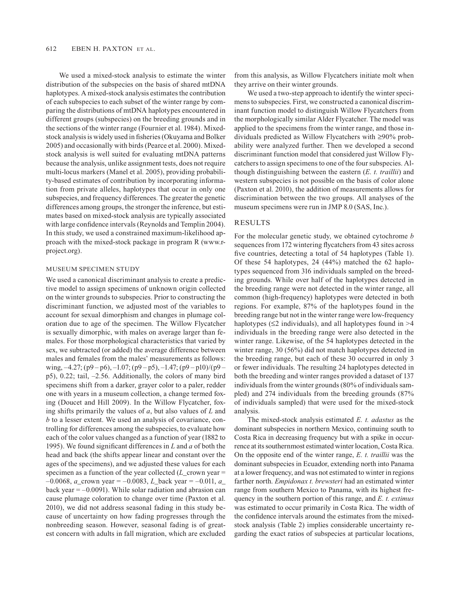We used a mixed-stock analysis to estimate the winter distribution of the subspecies on the basis of shared mtDNA haplotypes. A mixed-stock analysis estimates the contribution of each subspecies to each subset of the winter range by comparing the distributions of mtDNA haplotypes encountered in different groups (subspecies) on the breeding grounds and in the sections of the winter range (Fournier et al. 1984). Mixedstock analysis is widely used in fisheries (Okuyama and Bolker 2005) and occasionally with birds (Pearce et al. 2000). Mixedstock analysis is well suited for evaluating mtDNA patterns because the analysis, unlike assignment tests, does not require multi-locus markers (Manel et al. 2005), providing probability-based estimates of contribution by incorporating information from private alleles, haplotypes that occur in only one subspecies, and frequency differences. The greater the genetic differences among groups, the stronger the inference, but estimates based on mixed-stock analysis are typically associated with large confidence intervals (Reynolds and Templin 2004). In this study, we used a constrained maximum-likelihood approach with the mixed-stock package in program R (www.rproject.org).

## Museum specimen study

We used a canonical discriminant analysis to create a predictive model to assign specimens of unknown origin collected on the winter grounds to subspecies. Prior to constructing the discriminant function, we adjusted most of the variables to account for sexual dimorphism and changes in plumage coloration due to age of the specimen. The Willow Flycatcher is sexually dimorphic, with males on average larger than females. For those morphological characteristics that varied by sex, we subtracted (or added) the average difference between males and females from the males' measurements as follows: wing,  $-4.27$ ; (p9 – p6),  $-1.07$ ; (p9 – p5),  $-1.47$ ; (p9 – p10)/(p9 – p5), 0.22; tail, –2.56. Additionally, the colors of many bird specimens shift from a darker, grayer color to a paler, redder one with years in a museum collection, a change termed foxing (Doucet and Hill 2009). In the Willow Flycatcher, foxing shifts primarily the values of *a*, but also values of *L* and *b* to a lesser extent. We used an analysis of covariance, controlling for differences among the subspecies, to evaluate how each of the color values changed as a function of year (1882 to 1995). We found significant differences in *L* and *a* of both the head and back (the shifts appear linear and constant over the ages of the specimens), and we adjusted these values for each specimen as a function of the year collected (*L*\_crown year = –0.0068, *a*\_crown year = –0.0083, *L*\_back year = –0.011, *a*\_ back year  $=$  –0.0091). While solar radiation and abrasion can cause plumage coloration to change over time (Paxton et al. 2010), we did not address seasonal fading in this study because of uncertainty on how fading progresses through the nonbreeding season. However, seasonal fading is of greatest concern with adults in fall migration, which are excluded

from this analysis, as Willow Flycatchers initiate molt when they arrive on their winter grounds.

We used a two-step approach to identify the winter specimens to subspecies. First, we constructed a canonical discriminant function model to distinguish Willow Flycatchers from the morphologically similar Alder Flycatcher. The model was applied to the specimens from the winter range, and those individuals predicted as Willow Flycatchers with ≥90% probability were analyzed further. Then we developed a second discriminant function model that considered just Willow Flycatchers to assign specimens to one of the four subspecies. Although distinguishing between the eastern (*E. t. traillii*) and western subspecies is not possible on the basis of color alone (Paxton et al. 2010), the addition of measurements allows for discrimination between the two groups. All analyses of the museum specimens were run in JMP 8.0 (SAS, Inc.).

## **RESULTS**

For the molecular genetic study, we obtained cytochrome *b* sequences from 172 wintering flycatchers from 43 sites across five countries, detecting a total of 54 haplotypes (Table 1). Of these 54 haplotypes, 24 (44%) matched the 62 haplotypes sequenced from 316 individuals sampled on the breeding grounds. While over half of the haplotypes detected in the breeding range were not detected in the winter range, all common (high-frequency) haplotypes were detected in both regions. For example, 87% of the haplotypes found in the breeding range but not in the winter range were low-frequency haplotypes ( $\leq$ 2 individuals), and all haplotypes found in  $>$ 4 individuals in the breeding range were also detected in the winter range. Likewise, of the 54 haplotypes detected in the winter range, 30 (56%) did not match haplotypes detected in the breeding range, but each of these 30 occurred in only 3 or fewer individuals. The resulting 24 haplotypes detected in both the breeding and winter ranges provided a dataset of 137 individuals from the winter grounds (80% of individuals sampled) and 274 individuals from the breeding grounds (87% of individuals sampled) that were used for the mixed-stock analysis.

The mixed-stock analysis estimated *E. t. adastus* as the dominant subspecies in northern Mexico, continuing south to Costa Rica in decreasing frequency but with a spike in occurrence at its southernmost estimated winter location, Costa Rica. On the opposite end of the winter range, *E. t. traillii* was the dominant subspecies in Ecuador, extending north into Panama at a lower frequency, and was not estimated to winter in regions farther north. *Empidonax t. brewsteri* had an estimated winter range from southern Mexico to Panama, with its highest frequency in the southern portion of this range, and *E. t. extimus* was estimated to occur primarily in Costa Rica. The width of the confidence intervals around the estimates from the mixedstock analysis (Table 2) implies considerable uncertainty regarding the exact ratios of subspecies at particular locations,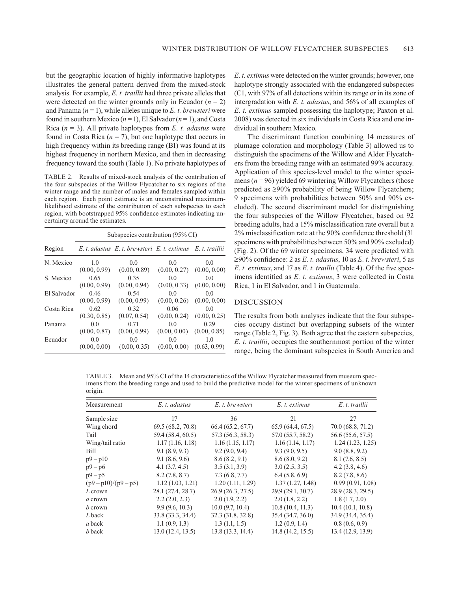but the geographic location of highly informative haplotypes illustrates the general pattern derived from the mixed-stock analysis. For example, *E. t. traillii* had three private alleles that were detected on the winter grounds only in Ecuador  $(n = 2)$ and Panama  $(n = 1)$ , while alleles unique to *E. t. brewsteri* were found in southern Mexico  $(n=1)$ , El Salvador  $(n=1)$ , and Costa Rica (*n* = 3). All private haplotypes from *E. t. adastus* were found in Costa Rica  $(n = 7)$ , but one haplotype that occurs in high frequency within its breeding range (B1) was found at its highest frequency in northern Mexico, and then in decreasing frequency toward the south (Table 1). No private haplotypes of

TABLE 2. Results of mixed-stock analysis of the contribution of the four subspecies of the Willow Flycatcher to six regions of the winter range and the number of males and females sampled within each region. Each point estimate is an unconstrained maximumlikelihood estimate of the contribution of each subspecies to each region, with bootstrapped 95% confidence estimates indicating uncertainty around the estimates.

|             | Subspecies contribution (95% CI) |                                                                        |               |              |  |  |  |
|-------------|----------------------------------|------------------------------------------------------------------------|---------------|--------------|--|--|--|
| Region      |                                  | $E$ , t. adastus $E$ , t. brewsteri $E$ , t. extimus $E$ , t. traillii |               |              |  |  |  |
| N. Mexico   | 1.0                              | 0.0                                                                    | 0.0           | 0.0          |  |  |  |
|             | (0.00, 0.99)                     | (0.00, 0.89)                                                           | (0.00, 0.27)  | (0.00, 0.00) |  |  |  |
| S. Mexico   | 0.65                             | 0.35                                                                   | 0.0           | 0.0          |  |  |  |
| El Salvador | (0.00, 0.99)                     | (0.00, 0.94)                                                           | (0.00, 0.33)  | (0.00, 0.00) |  |  |  |
|             | 0.46                             | 0.54                                                                   | 0.0           | 0.0          |  |  |  |
| Costa Rica  | (0.00, 0.99)                     | (0.00, 0.99)                                                           | (0.00, 0.26)  | (0.00, 0.00) |  |  |  |
|             | 0.62                             | 0.32                                                                   | 0.06          | 0.0          |  |  |  |
| Panama      | (0.30, 0.85)                     | (0.07, 0.54)                                                           | (0.00, 0.24)  | (0.00, 0.25) |  |  |  |
|             | 0.0                              | 0.71                                                                   | 0.0           | 0.29         |  |  |  |
|             | (0.00, 0.87)                     | (0.00, 0.99)                                                           | (0.00, 0.00)  | (0.00, 0.85) |  |  |  |
| Ecuador     | 0.0                              | 0.0                                                                    | $0.0^{\circ}$ | 1.0          |  |  |  |
|             | (0.00, 0.00)                     | (0.00, 0.35)                                                           | (0.00, 0.00)  | (0.63, 0.99) |  |  |  |

*E. t. extimus* were detected on the winter grounds; however, one haplotype strongly associated with the endangered subspecies (C1, with 97% of all detections within its range or in its zone of intergradation with *E. t. adastus*, and 56% of all examples of *E. t. extimus* sampled possessing the haplotype; Paxton et al. 2008) was detected in six individuals in Costa Rica and one individual in southern Mexico.

The discriminant function combining 14 measures of plumage coloration and morphology (Table 3) allowed us to distinguish the specimens of the Willow and Alder Flycatchers from the breeding range with an estimated 99% accuracy. Application of this species-level model to the winter specimens (*n* = 96) yielded 69 wintering Willow Flycatchers (those predicted as ≥90% probability of being Willow Flycatchers; 9 specimens with probabilities between 50% and 90% excluded). The second discriminant model for distinguishing the four subspecies of the Willow Flycatcher, based on 92 breeding adults, had a 15% misclassification rate overall but a 2% misclassification rate at the 90% confidence threshold (31 specimens with probabilities between 50% and 90% excluded) (Fig. 2). Of the 69 winter specimens, 34 were predicted with ≥90% confidence: 2 as *E. t. adastus*, 10 as *E. t. brewsteri*, 5 as *E. t. extimus*, and 17 as *E. t. traillii* (Table 4). Of the five specimens identified as *E. t. extimus*, 3 were collected in Costa Rica, 1 in El Salvador, and 1 in Guatemala.

# Discussion

The results from both analyses indicate that the four subspecies occupy distinct but overlapping subsets of the winter range (Table 2, Fig. 3). Both agree that the eastern subspecies, *E. t. traillii*, occupies the southernmost portion of the winter range, being the dominant subspecies in South America and

TABLE 3. Mean and 95% CI of the 14 characteristics of the Willow Flycatcher measured from museum specimens from the breeding range and used to build the predictive model for the winter specimens of unknown origin.

| Measurement            | $Et$ , adastus    | E. t. brewsteri   | $E$ , t. extimus  | E. t. traillii    |
|------------------------|-------------------|-------------------|-------------------|-------------------|
| Sample size            | 17                | 36                | 21                | 27                |
| Wing chord             | 69.5 (68.2, 70.8) | 66.4(65.2, 67.7)  | 65.9(64.4, 67.5)  | 70.0 (68.8, 71.2) |
| Tail                   | 59.4 (58.4, 60.5) | 57.3 (56.3, 58.3) | 57.0 (55.7, 58.2) | 56.6 (55.6, 57.5) |
| Wing/tail ratio        | 1.17(1.16, 1.18)  | 1.16(1.15, 1.17)  | 1.16(1.14, 1.17)  | 1.24(1.23, 1.25)  |
| Bill                   | 9.1(8.9, 9.3)     | 9.2(9.0, 9.4)     | 9.3(9.0, 9.5)     | 9.0(8.8, 9.2)     |
| $p9 - p10$             | 9.1(8.6, 9.6)     | 8.6(8.2, 9.1)     | 8.6(8.0, 9.2)     | 8.1(7.6, 8.5)     |
| $p9 - p6$              | 4.1(3.7, 4.5)     | 3.5(3.1, 3.9)     | 3.0(2.5, 3.5)     | 4.2(3.8, 4.6)     |
| $p9 - p5$              | 8.2(7.8, 8.7)     | 7.3(6.8, 7.7)     | 6.4(5.8, 6.9)     | 8.2(7.8, 8.6)     |
| $(p9 - p10)/(p9 - p5)$ | 1.12(1.03, 1.21)  | 1.20(1.11, 1.29)  | 1.37(1.27, 1.48)  | 0.99(0.91, 1.08)  |
| L crown                | 28.1 (27.4, 28.7) | 26.9(26.3, 27.5)  | 29.9 (29.1, 30.7) | 28.9 (28.3, 29.5) |
| a crown                | 2.2(2.0, 2.3)     | 2.0(1.9, 2.2)     | 2.0(1.8, 2.2)     | 1.8(1.7, 2.0)     |
| <i>b</i> crown         | 9.9(9.6, 10.3)    | 10.0(9.7, 10.4)   | 10.8(10.4, 11.3)  | 10.4(10.1, 10.8)  |
| L back                 | 33.8 (33.3, 34.4) | 32.3 (31.8, 32.8) | 35.4 (34.7, 36.0) | 34.9 (34.4, 35.4) |
| a back                 | 1.1(0.9, 1.3)     | 1.3(1.1, 1.5)     | 1.2(0.9, 1.4)     | 0.8(0.6, 0.9)     |
| b back                 | 13.0(12.4, 13.5)  | 13.8 (13.3, 14.4) | 14.8 (14.2, 15.5) | 13.4(12.9, 13.9)  |
|                        |                   |                   |                   |                   |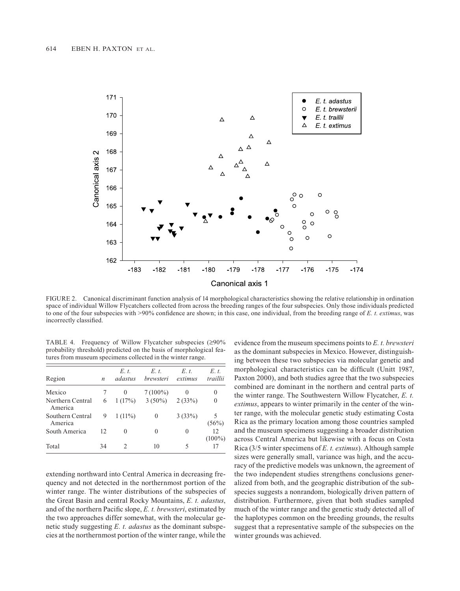

FIGURE 2. Canonical discriminant function analysis of 14 morphological characteristics showing the relative relationship in ordination space of individual Willow Flycatchers collected from across the breeding ranges of the four subspecies. Only those individuals predicted to one of the four subspecies with >90% confidence are shown; in this case, one individual, from the breeding range of *E. t. extimus*, was incorrectly classified.

TABLE 4. Frequency of Willow Flycatcher subspecies  $(≥90\%$ probability threshold) predicted on the basis of morphological features from museum specimens collected in the winter range.

| Region                      | $\boldsymbol{n}$ | $E_t$<br>adastus       | E. t.<br><i>brewsteri</i> extimus | E. t.    | E. t.<br>traillii |
|-----------------------------|------------------|------------------------|-----------------------------------|----------|-------------------|
| Mexico                      |                  | $\theta$               | $7(100\%)$                        |          | 0                 |
| Northern Central<br>America | 6                | 1(17%)                 | $3(50\%)$                         | 2(33%)   | $\theta$          |
| Southern Central<br>America | 9                | $1(11\%)$              | $\theta$                          | 3(33%)   | 5<br>(56%)        |
| South America               | 12               | $\Omega$               | $\Omega$                          | $\Omega$ | 12<br>$(100\%)$   |
| Total                       | 34               | $\mathfrak{D}_{\cdot}$ | 10                                | 5        | 17                |

extending northward into Central America in decreasing frequency and not detected in the northernmost portion of the winter range. The winter distributions of the subspecies of the Great Basin and central Rocky Mountains, *E. t. adastus*, and of the northern Pacific slope, *E. t. brewsteri*, estimated by the two approaches differ somewhat, with the molecular genetic study suggesting *E. t. adastus* as the dominant subspecies at the northernmost portion of the winter range, while the

evidence from the museum specimens points to *E. t. brewsteri* as the dominant subspecies in Mexico. However, distinguishing between these two subspecies via molecular genetic and morphological characteristics can be difficult (Unitt 1987, Paxton 2000), and both studies agree that the two subspecies combined are dominant in the northern and central parts of the winter range. The Southwestern Willow Flycatcher, *E. t. extimus*, appears to winter primarily in the center of the winter range, with the molecular genetic study estimating Costa Rica as the primary location among those countries sampled and the museum specimens suggesting a broader distribution across Central America but likewise with a focus on Costa Rica (3/5 winter specimens of *E. t. extimus*). Although sample sizes were generally small, variance was high, and the accuracy of the predictive models was unknown, the agreement of the two independent studies strengthens conclusions generalized from both, and the geographic distribution of the subspecies suggests a nonrandom, biologically driven pattern of distribution. Furthermore, given that both studies sampled much of the winter range and the genetic study detected all of the haplotypes common on the breeding grounds, the results suggest that a representative sample of the subspecies on the winter grounds was achieved.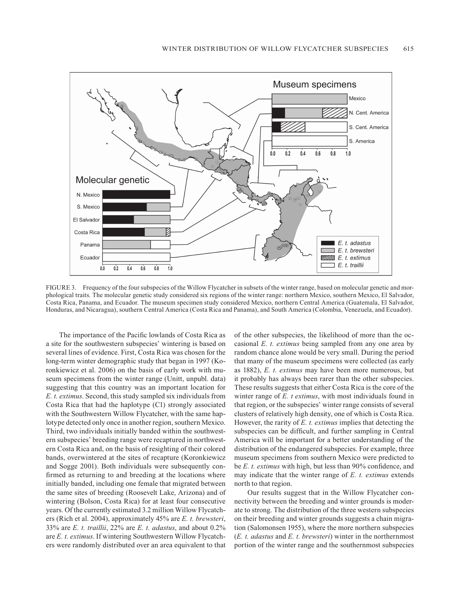

FIGURE 3. Frequency of the four subspecies of the Willow Flycatcher in subsets of the winter range, based on molecular genetic and morphological traits. The molecular genetic study considered six regions of the winter range: northern Mexico, southern Mexico, El Salvador, Costa Rica, Panama, and Ecuador. The museum specimen study considered Mexico, northern Central America (Guatemala, El Salvador, Honduras, and Nicaragua), southern Central America (Costa Rica and Panama), and South America (Colombia, Venezuela, and Ecuador).

The importance of the Pacific lowlands of Costa Rica as a site for the southwestern subspecies' wintering is based on several lines of evidence. First, Costa Rica was chosen for the long-term winter demographic study that began in 1997 (Koronkiewicz et al. 2006) on the basis of early work with museum specimens from the winter range (Unitt, unpubl. data) suggesting that this country was an important location for *E. t. extimus*. Second, this study sampled six individuals from Costa Rica that had the haplotype (C1) strongly associated with the Southwestern Willow Flycatcher, with the same haplotype detected only once in another region, southern Mexico. Third, two individuals initially banded within the southwestern subspecies' breeding range were recaptured in northwestern Costa Rica and, on the basis of resighting of their colored bands, overwintered at the sites of recapture (Koronkiewicz and Sogge 2001). Both individuals were subsequently confirmed as returning to and breeding at the locations where initially banded, including one female that migrated between the same sites of breeding (Roosevelt Lake, Arizona) and of wintering (Bolson, Costa Rica) for at least four consecutive years. Of the currently estimated 3.2 million Willow Flycatchers (Rich et al. 2004), approximately 45% are *E. t. brewsteri*, 33% are *E. t. traillii*, 22% are *E. t. adastus*, and about 0.2% are *E. t. extimus*. If wintering Southwestern Willow Flycatchers were randomly distributed over an area equivalent to that

of the other subspecies, the likelihood of more than the occasional *E. t. extimus* being sampled from any one area by random chance alone would be very small. During the period that many of the museum specimens were collected (as early as 1882), *E. t. extimus* may have been more numerous, but it probably has always been rarer than the other subspecies. These results suggests that either Costa Rica is the core of the winter range of *E. t extimus*, with most individuals found in that region, or the subspecies' winter range consists of several clusters of relatively high density, one of which is Costa Rica. However, the rarity of *E. t. extimus* implies that detecting the subspecies can be difficult, and further sampling in Central America will be important for a better understanding of the distribution of the endangered subspecies. For example, three museum specimens from southern Mexico were predicted to be *E. t. extimus* with high, but less than 90% confidence, and may indicate that the winter range of *E. t. extimus* extends north to that region.

Our results suggest that in the Willow Flycatcher connectivity between the breeding and winter grounds is moderate to strong. The distribution of the three western subspecies on their breeding and winter grounds suggests a chain migration (Salomonsen 1955), where the more northern subspecies (*E. t. adastus* and *E. t. brewsteri*) winter in the northernmost portion of the winter range and the southernmost subspecies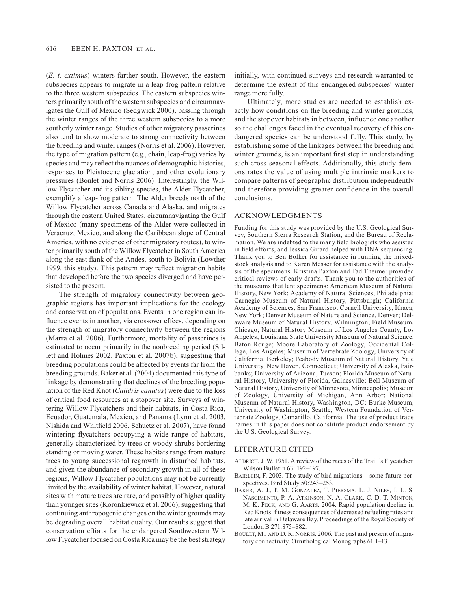(*E. t. extimus*) winters farther south. However, the eastern subspecies appears to migrate in a leap-frog pattern relative to the three western subspecies. The eastern subspecies winters primarily south of the western subspecies and circumnavigates the Gulf of Mexico (Sedgwick 2000), passing through the winter ranges of the three western subspecies to a more southerly winter range. Studies of other migratory passerines also tend to show moderate to strong connectivity between the breeding and winter ranges (Norris et al. 2006). However, the type of migration pattern (e.g., chain, leap-frog) varies by species and may reflect the nuances of demographic histories, responses to Pleistocene glaciation, and other evolutionary pressures (Boulet and Norris 2006). Interestingly, the Willow Flycatcher and its sibling species, the Alder Flycatcher, exemplify a leap-frog pattern. The Alder breeds north of the Willow Flycatcher across Canada and Alaska, and migrates through the eastern United States, circumnavigating the Gulf of Mexico (many specimens of the Alder were collected in Veracruz, Mexico, and along the Caribbean slope of Central America, with no evidence of other migratory routes), to winter primarily south of the Willow Flycatcher in South America along the east flank of the Andes, south to Bolivia (Lowther 1999, this study). This pattern may reflect migration habits that developed before the two species diverged and have persisted to the present.

The strength of migratory connectivity between geographic regions has important implications for the ecology and conservation of populations. Events in one region can influence events in another, via crossover effecs, depending on the strength of migratory connectivity between the regions (Marra et al. 2006). Furthermore, mortality of passerines is estimated to occur primarily in the nonbreeding period (Sillett and Holmes 2002, Paxton et al. 2007b), suggesting that breeding populations could be affected by events far from the breeding grounds. Baker et al. (2004) documented this type of linkage by demonstrating that declines of the breeding population of the Red Knot (*Calidris canutus*) were due to the loss of critical food resources at a stopover site. Surveys of wintering Willow Flycatchers and their habitats, in Costa Rica, Ecuador, Guatemala, Mexico, and Panama (Lynn et al. 2003, Nishida and Whitfield 2006, Schuetz et al. 2007), have found wintering flycatchers occupying a wide range of habitats, generally characterized by trees or woody shrubs bordering standing or moving water. These habitats range from mature trees to young successional regrowth in disturbed habitats, and given the abundance of secondary growth in all of these regions, Willow Flycatcher populations may not be currently limited by the availability of winter habitat. However, natural sites with mature trees are rare, and possibly of higher quality than younger sites (Koronkiewicz et al. 2006), suggesting that continuing anthropogenic changes on the winter grounds may be degrading overall habitat quality. Our results suggest that conservation efforts for the endangered Southwestern Willow Flycatcher focused on Costa Rica may be the best strategy

initially, with continued surveys and research warranted to determine the extent of this endangered subspecies' winter range more fully.

Ultimately, more studies are needed to establish exactly how conditions on the breeding and winter grounds, and the stopover habitats in between, influence one another so the challenges faced in the eventual recovery of this endangered species can be understood fully. This study, by establishing some of the linkages between the breeding and winter grounds, is an important first step in understanding such cross-seasonal effects. Additionally, this study demonstrates the value of using multiple intrinsic markers to compare patterns of geographic distribution independently and therefore providing greater confidence in the overall conclusions.

# **ACKNOWLEDGMENTS**

Funding for this study was provided by the U.S. Geological Survey, Southern Sierra Research Station, and the Bureau of Reclamation. We are indebted to the many field biologists who assisted in field efforts, and Jessica Girard helped with DNA sequencing. Thank you to Ben Bolker for assistance in running the mixedstock analysis and to Karen Messer for assistance with the analysis of the specimens. Kristina Paxton and Tad Theimer provided critical reviews of early drafts. Thank you to the authorities of the museums that lent specimens: American Museum of Natural History, New York; Academy of Natural Sciences, Philadelphia; Carnegie Museum of Natural History, Pittsburgh; California Academy of Sciences, San Francisco; Cornell University, Ithaca, New York; Denver Museum of Nature and Science, Denver; Delaware Museum of Natural History, Wilmington; Field Museum, Chicago; Natural History Museum of Los Angeles County, Los Angeles; Louisiana State University Museum of Natural Science, Baton Rouge; Moore Laboratory of Zoology, Occidental College, Los Angeles; Museum of Vertebrate Zoology, University of California, Berkeley; Peabody Museum of Natural History, Yale University, New Haven, Connecticut; University of Alaska, Fairbanks; University of Arizona, Tucson; Florida Museum of Natural History, University of Florida, Gainesville; Bell Museum of Natural History, University of Minnesota, Minneapolis; Museum of Zoology, University of Michigan, Ann Arbor; National Museum of Natural History, Washington, DC; Burke Museum, University of Washington, Seattle; Western Foundation of Vertebrate Zoology, Camarillo, California. The use of product trade names in this paper does not constitute product endorsement by the U.S. Geological Survey.

# Literature Cited

- ALDRICH, J. W. 1951. A review of the races of the Traill's Flycatcher. Wilson Bulletin 63: 192–197.
- BAIRLEIN, F. 2003. The study of bird migrations—some future perspectives. Bird Study 50:243–253.
- Baker, A. J., P. M. Gonzalez, T. Piersma, L. J. Niles, I. L. S. Nascimento, P. A. Atkinson, N. A. Clark, C. D. T. Minton, M. K. Peck, and G. Aarts. 2004. Rapid population decline in Red Knots: fitness consequences of decreased refueling rates and late arrival in Delaware Bay. Proceedings of the Royal Society of London B 271:875–882.
- BOULET, M., AND D. R. NORRIS, 2006. The past and present of migratory connectivity. Ornithological Monographs 61:1–13.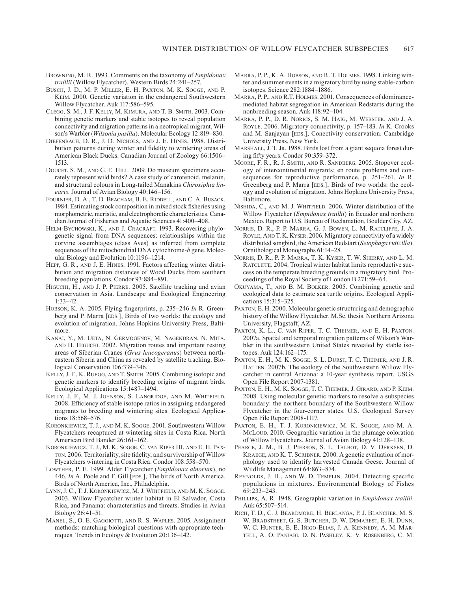- Browning, M. R. 1993. Comments on the taxonomy of *Empidonax traillii* (Willow Flycatcher). Western Birds 24:241–257.
- Busch, J. D., M. P. Miller, E. H. Paxton, M. K. Sogge, and P. Keim. 2000. Genetic variation in the endangered Southwestern Willow Flycatcher. Auk 117:586–595.
- Clegg, S. M., J. F. Kelly, M. Kimura, and T. B. Smith. 2003. Combining genetic markers and stable isotopes to reveal population connectivity and migration patterns in a neotropical migrant, Wilson's Warbler (*Wilsonia pusilla*). Molecular Ecology 12:819–830.
- Diefenbach, D. R., J. D. Nichols, and J. E. Hines. 1988. Distribution patterns during winter and fidelity to wintering areas of American Black Ducks. Canadian Journal of Zoology 66:1506– 1513.
- Doucet, S. M., and G. E. Hill. 2009. Do museum specimens accurately represent wild birds? A case study of carotenoid, melanin, and structural colours in Long-tailed Manakins *Chiroxiphia linearis.* Journal of Avian Biology 40:146–156.
- Fournier, D. A., T. D. Beacham, B. E. Riddell, and C. A. Busack. 1984. Estimating stock composition in mixed stock fisheries using morphometric, meristic, and electrophoretic characteristics. Canadian Journal of Fisheries and Aquatic Sciences 41:400–408.
- HELM-BYCHOWSKI, K., AND J. CRACRAFT. 1993. Recovering phylogenetic signal from DNA sequences: relationships within the corvine assemblages (class Aves) as inferred from complete sequences of the mitochondrial DNA cytochrome-*b* gene. Molecular Biology and Evolution 10:1196–1214.
- Hepp, G. R., and J. E. Hines. 1991. Factors affecting winter distribution and migration distances of Wood Ducks from southern breeding populations. Condor 93:884–891.
- Higuchi, H., and J. P. Pierre. 2005. Satellite tracking and avian conservation in Asia. Landscape and Ecological Engineering 1:33–42.
- Hobson, K. A. 2005. Flying fingerprints, p. 235–246 *In* R. Greenberg and P. Marra [EDS.], Birds of two worlds: the ecology and evolution of migration. Johns Hopkins University Press, Baltimore.
- Kanai, Y., M. Ueta, N. Germogenov, M. Nagendran, N. Mita, and H. Higuchi. 2002. Migration routes and important resting areas of Siberian Cranes (*Grus leucogeranus*) between northeastern Siberia and China as revealed by satellite tracking. Biological Conservation 106:339–346.
- Kelly, J. F., K. Ruegg, and T. Smith. 2005. Combining isotopic and genetic markers to identify breeding origins of migrant birds. Ecological Applications 15:1487–1494.
- Kelly, J. F., M. J. Johnson, S. Langridge, and M. Whitfield. 2008. Efficiency of stable isotope ratios in assigning endangered migrants to breeding and wintering sites. Ecological Applications 18:568–576.
- Koronkiewicz, T. J., and M. K. Sogge. 2001. Southwestern Willow Flycatchers recaptured at wintering sites in Costa Rica. North American Bird Bander 26:161–162.
- Koronkiewicz, T. J., M. K. Sogge, C. van Riper III, and E. H. Paxton. 2006. Territoriality, site fidelity, and survivorship of Willow Flycatchers wintering in Costa Rica. Condor 108:558–570.
- Lowther, P. E. 1999. Alder Flycatcher (*Empidonax alnorum*), no 446. *In* A. Poole and F. Gill [EDS.], The birds of North America. Birds of North America, Inc., Philadelphia.
- Lynn, J. C., T. J. Koronkiewicz, M. J. Whitfield, and M. K. Sogge. 2003. Willow Flycatcher winter habitat in El Salvador, Costa Rica, and Panama: characteristics and threats. Studies in Avian Biology 26:41–51.
- Manel, S., O. E. Gaggiotti, and R. S. Waples. 2005. Assignment methods: matching biological questions with appropriate techniques. Trends in Ecology & Evolution 20:136–142.
- Marra, P. P., K. A. Hobson, and R. T. Holmes. 1998. Linking winter and summer events in a migratory bird by using stable-carbon isotopes. Science 282:1884–1886.
- Marra, P. P., and R.T. Holmes. 2001. Consequences of dominancemediated habitat segregation in American Redstarts during the nonbreeding season. Auk 118:92–104.
- Marra, P. P., D. R. Norris, S. M. Haig, M. Webster, and J. A. Royle. 2006. Migratory connectivity, p. 157–183. *In* K. Crooks and M. Sanjayan [EDS.], Conectivity conservation. Cambridge University Press, New York.
- MARSHALL, J. T. JR. 1988. Birds lost from a giant sequoia forest during fifty years. Condor 90:359–372.
- Moore, F. R., R. J. Smith, and R. Sandberg. 2005. Stopover ecology of intercontinental migrants; en route problems and consequences for reproductive performance, p. 251–261. *In* R. Greenberg and P. Marra [EDS.], Birds of two worlds: the ecology and evolution of migration. Johns Hopkins University Press, Baltimore.
- NISHIDA, C., AND M. J. WHITFIELD. 2006. Winter distribution of the Willow Flycatcher (*Empidonax traillii*) in Ecuador and northern Mexico. Report to U.S. Bureau of Reclamation, Boulder City, AZ.
- Norris, D. R., P. P. Marra, G. J. Bowen, L. M. Ratcliffe, J. A. Royle, And T. K. Kyser. 2006. Migratory connectivity of a widely distributed songbird, the American Redstart (*Setophaga ruticilla*). Ornithological Monographs 61:14–28.
- Norris, D. R., P. P. Marra, T. K. Kyser, T. W. Sherry, and L. M. RATCLIFFE. 2004. Tropical winter habitat limits reproductive success on the temperate breeding grounds in a migratory bird. Proceedings of the Royal Society of London B 271:59–64.
- Okuyama, T., and B. M. Bolker. 2005. Combining genetic and ecological data to estimate sea turtle origins. Ecological Applications 15:315–325.
- PAXTON, E. H. 2000. Molecular genetic structuring and demographic history of the Willow Flycatcher. M.Sc. thesis. Northern Arizona University, Flagstaff, AZ.
- PAXTON, K. L., C. VAN RIPER, T. C. THEIMER, AND E. H. PAXTON. 2007a*.* Spatial and temporal migration patterns of Wilson's Warbler in the southwestern United States revealed by stable isotopes. Auk 124:162–175.
- PAXTON, E. H., M. K. SOGGE, S. L. DURST, T. C. THEIMER, AND J. R. HATTEN. 2007b. The ecology of the Southwestern Willow Flycatcher in central Arizona: a 10-year synthesis report. USGS Open File Report 2007-1381.
- PAXTON, E. H., M. K. SOGGE, T. C. THEIMER, J. GIRARD, AND P. KEIM. 2008*.* Using molecular genetic markers to resolve a subspecies boundary: the northern boundary of the Southwestern Willow Flycatcher in the four-corner states. U.S. Geological Survey Open File Report 2008-1117.
- PAXTON, E. H., T. J. KORONKIEWICZ, M. K. SOGGE, AND M. A. McLoud. 2010. Geographic variation in the plumage coloration of Willow Flycatchers. Journal of Avian Biology 41:128–138.
- PEARCE, J. M., B. J. PIERSON, S. L. TALBOT, D. V. DERKSEN, D. Kraege, and K. T. Scribner. 2000. A genetic evaluation of morphology used to identify harvested Canada Geese. Journal of Wildlife Management 64:863–874.
- Reynolds, J. H., and W. D. Templin. 2004. Detecting specific populations in mixtures. Environmental Biology of Fishes 69:233–243.
- PHILLIPS, A. R. 1948. Geographic variation in *Empidonax traillii*. Auk 65:507–514.
- Rich, T. D., C. J. Beardmore, H. Berlanga, P. J. Blancher, M. S. W. Bradstreet, G. S. Butcher, D. W. Demarest, E. H. Dunn, W. C. Hunter, E. E. Iñigo-Elias, J. A. Kennedy, A. M. Martell, A. O. Panjabi, D. N. Pashley, K. V. Rosenberg, C. M.